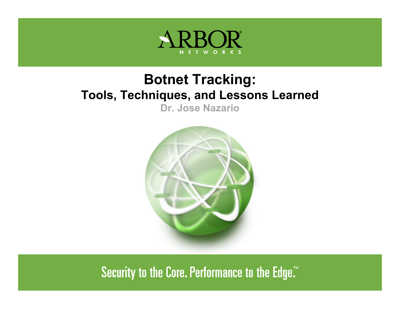

#### **Botnet Tracking: Tools, Techniques, and Lessons Learned**

**Dr. Jose Nazario**



Security to the Core. Performance to the Edge."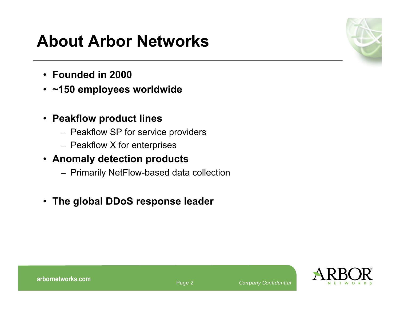# **About Arbor Networks**

- **Founded in 2000**
- **~150 employees worldwide**
- **Peakflow product lines**
	- Peakflow SP for service providers
	- Peakflow X for enterprises
- **Anomaly detection products**
	- Primarily NetFlow-based data collection
- **The global DDoS response leader**



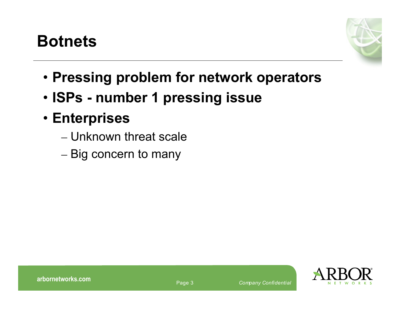# **Botnets**



- **Pressing problem for network operators**
- **ISPs - number 1 pressing issue**
- **Enterprises**
	- Unknown threat scale
	- Big concern to many

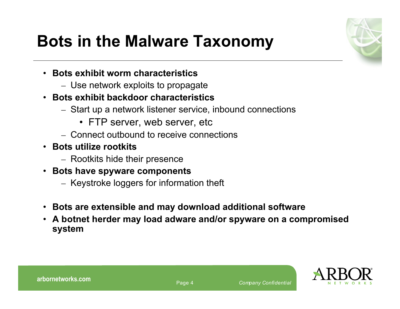

# **Bots in the Malware Taxonomy**

- **Bots exhibit worm characteristics**
	- Use network exploits to propagate
- **Bots exhibit backdoor characteristics**
	- Start up a network listener service, inbound connections
		- FTP server, web server, etc
	- Connect outbound to receive connections
- **Bots utilize rootkits**
	- Rootkits hide their presence
- **Bots have spyware components**
	- Keystroke loggers for information theft
- **Bots are extensible and may download additional software**
- **A botnet herder may load adware and/or spyware on a compromised system**

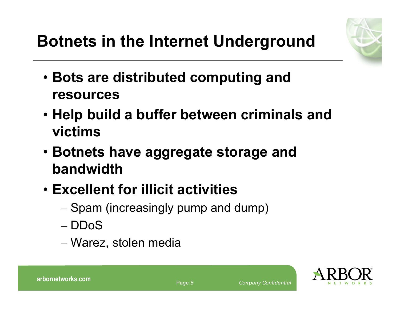- **Bots are distributed computing and resources**
- **Help build a buffer between criminals and victims**
- **Botnets have aggregate storage and bandwidth**
- **Excellent for illicit activities**
	- Spam (increasingly pump and dump)
	- DDoS
	- Warez, stolen media

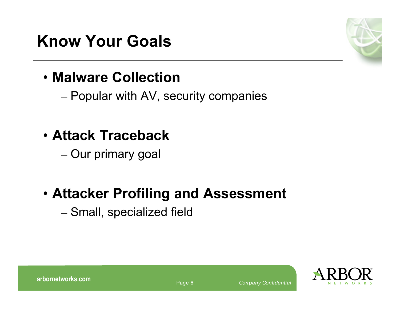# **Know Your Goals**



## • **Malware Collection**

– Popular with AV, security companies

- **Attack Traceback**
	- Our primary goal

### • **Attacker Profiling and Assessment**

– Small, specialized field

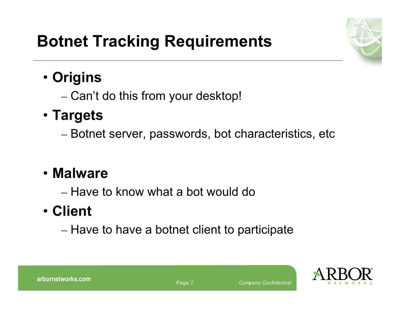

# **Botnet Tracking Requirements**

## • **Origins**

– Can't do this from your desktop!

## • **Targets**

– Botnet server, passwords, bot characteristics, etc

## • **Malware**

– Have to know what a bot would do

# • **Client**

– Have to have a botnet client to participate

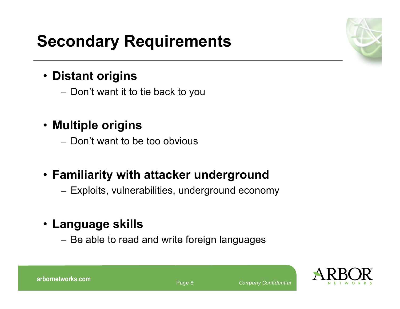# **Secondary Requirements**

#### • **Distant origins**

– Don't want it to tie back to you

#### • **Multiple origins**

– Don't want to be too obvious

#### • **Familiarity with attacker underground**

– Exploits, vulnerabilities, underground economy

#### • **Language skills**

– Be able to read and write foreign languages







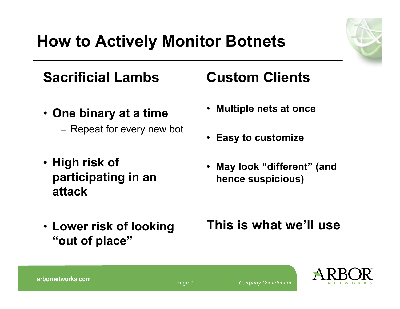

# **How to Actively Monitor Botnets**

## **Sacrificial Lambs**

- **One binary at a time**
	- Repeat for every new bot
- **High risk of participating in an attack**
- **Lower risk of looking "out of place"**

### **Custom Clients**

- **Multiple nets at once**
- **Easy to customize**
- **May look "different" (and hence suspicious)**

#### **This is what we'll use**

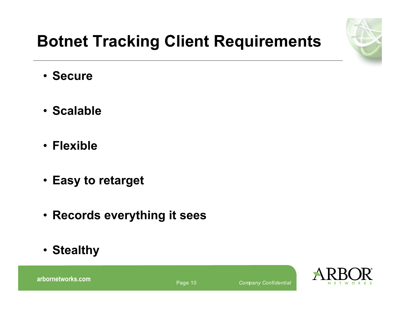

# **Botnet Tracking Client Requirements**

- **Secure**
- **Scalable**
- **Flexible**
- **Easy to retarget**
- **Records everything it sees**
- **Stealthy**

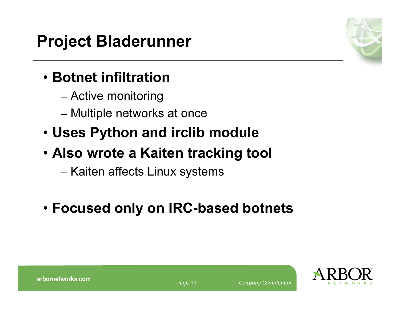# **Project Bladerunner**

# • **Botnet infiltration**

- Active monitoring
- Multiple networks at once
- **Uses Python and irclib module**

# • **Also wrote a Kaiten tracking tool**

- Kaiten affects Linux systems
- **Focused only on IRC-based botnets**

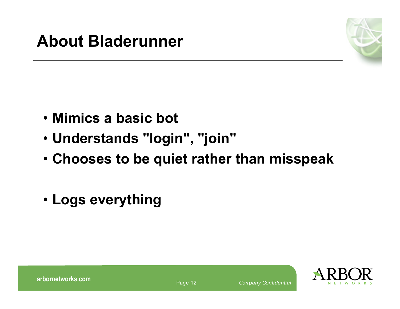

- **Mimics a basic bot**
- **Understands "login" , "join"**
- **Chooses to be quiet rather than misspeak**
- **Logs everything**

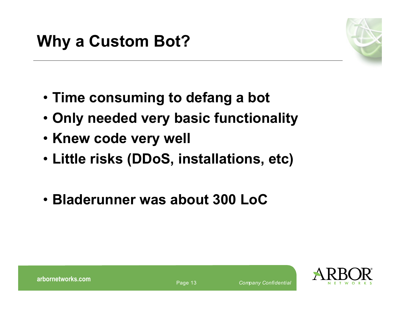

- **Time consuming to defang a bot**
- **Only needed very basic functionality**
- **Knew code very well**
- **Little risks (DDoS, installations, etc)**
- **Bladerunner was about 300 LoC**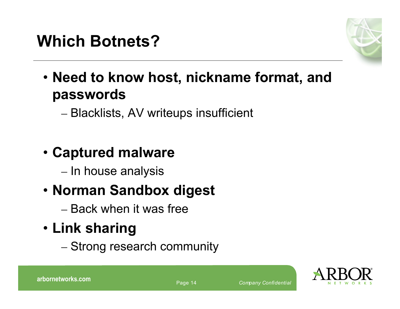

- **Need to know host, nickname format, and passwords**
	- Blacklists, AV writeups insufficient

# • **Captured malware**

– In house analysis

# • **Norman Sandbox digest**

– Back when it was free

# • **Link sharing**

– Strong research community

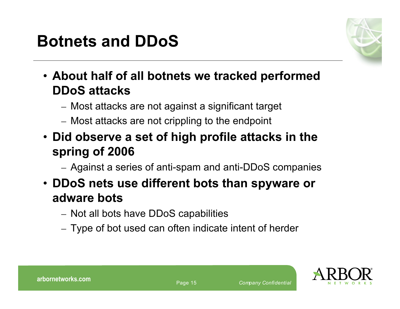# **Botnets and DDoS**



- **About half of all botnets we tracked performed DDoS attacks**
	- Most attacks are not against a significant target
	- Most attacks are not crippling to the endpoint
- **Did observe a set of high profile attacks in the spring of 2006**
	- Against a series of anti-spam and anti-DDoS companies
- **DDoS nets use different bots than spyware or adware bots**
	- Not all bots have DDoS capabilities
	- Type of bot used can often indicate intent of herder

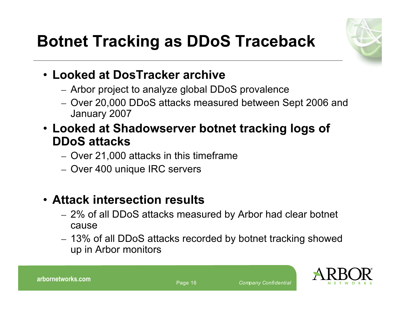



#### • **Looked at DosTracker archive**

- Arbor project to analyze global DDoS provalence
- Over 20,000 DDoS attacks measured between Sept 2006 and January 2007
- **Looked at Shadowserver botnet tracking logs of DDoS attacks**
	- Over 21,000 attacks in this timeframe
	- Over 400 unique IRC servers

#### • **Attack intersection results**

- 2% of all DDoS attacks measured by Arbor had clear botnet cause
- 13% of all DDoS attacks recorded by botnet tracking showed up in Arbor monitors



Page <sup>16</sup> *Company Confidential* **arbornetworks.com**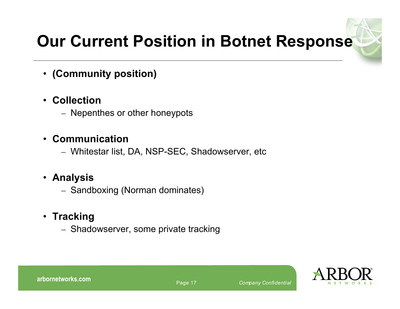# **Our Current Position in Botnet Response**

#### • **(Community position)**

#### • **Collection**

– Nepenthes or other honeypots

#### • **Communication**

– Whitestar list, DA, NSP-SEC, Shadowserver, etc

#### • **Analysis**

– Sandboxing (Norman dominates)

#### • **Tracking**

– Shadowserver, some private tracking

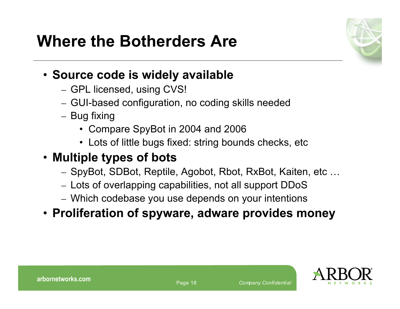

#### • **Source code is widely available**

- GPL licensed, using CVS!
- GUI-based configuration, no coding skills needed
- Bug fixing
	- Compare SpyBot in 2004 and 2006
	- Lots of little bugs fixed: string bounds checks, etc

#### • **Multiple types of bots**

- SpyBot, SDBot, Reptile, Agobot, Rbot, RxBot, Kaiten, etc …
- Lots of overlapping capabilities, not all support DDoS
- Which codebase you use depends on your intentions

#### • **Proliferation of spyware, adware provides money**

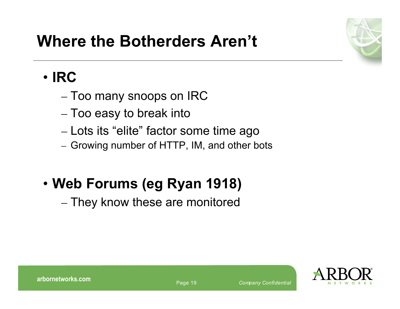

# **Where the Botherders Aren't**

### • **IRC**

- Too many snoops on IRC
- Too easy to break into
- Lots its "elite" factor some time ago
- Growing number of HTTP, IM, and other bots

# • **Web Forums (eg Ryan 1918)**

– They know these are monitored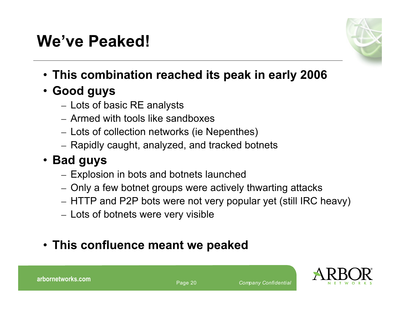# **We've Peaked!**



- **This combination reached its peak in early 2006**
- **Good guys**
	- Lots of basic RE analysts
	- Armed with tools like sandboxes
	- Lots of collection networks (ie Nepenthes)
	- Rapidly caught, analyzed, and tracked botnets

#### • **Bad guys**

- Explosion in bots and botnets launched
- Only a few botnet groups were actively thwarting attacks
- HTTP and P2P bots were not very popular yet (still IRC heavy)
- Lots of botnets were very visible

#### • **This confluence meant we peaked**

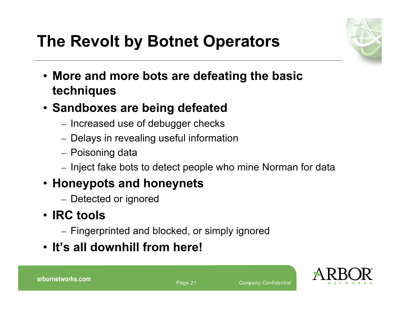

# **The Revolt by Botnet Operators**

- **More and more bots are defeating the basic techniques**
- **Sandboxes are being defeated**
	- Increased use of debugger checks
	- Delays in revealing useful information
	- Poisoning data
	- Inject fake bots to detect people who mine Norman for data

#### • **Honeypots and honeynets**

– Detected or ignored

#### • **IRC tools**

- Fingerprinted and blocked, or simply ignored
- **It's all downhill from here!**

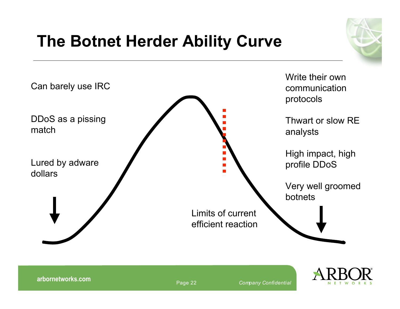# **The Botnet Herder Ability Curve**





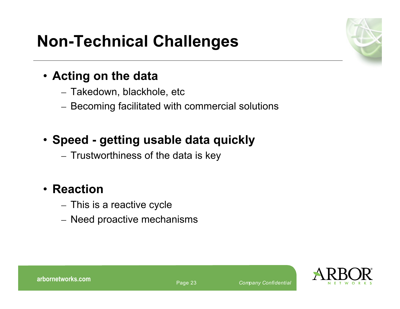# **Non-Technical Challenges**

#### • **Acting on the data**

- Takedown, blackhole, etc
- Becoming facilitated with commercial solutions

#### • **Speed - getting usable data quickly**

– Trustworthiness of the data is key

#### • **Reaction**

- This is a reactive cycle
- Need proactive mechanisms

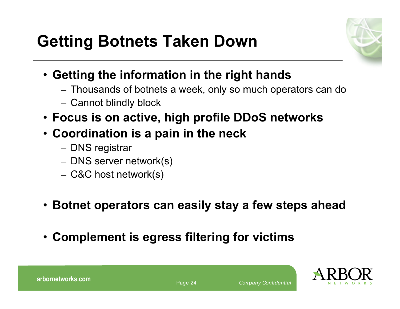

- **Getting the information in the right hands**
	- Thousands of botnets a week, only so much operators can do
	- Cannot blindly block
- **Focus is on active, high profile DDoS networks**
- **Coordination is a pain in the neck**
	- DNS registrar
	- DNS server network(s)
	- C&C host network(s)
- **Botnet operators can easily stay a few steps ahead**
- **Complement is egress filtering for victims**

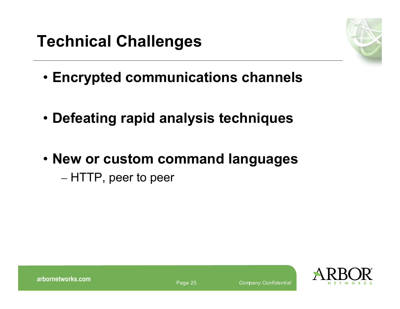# **Technical Challenges**



- **Encrypted communications channels**
- **Defeating rapid analysis techniques**
- **New or custom command languages** – HTTP, peer to peer

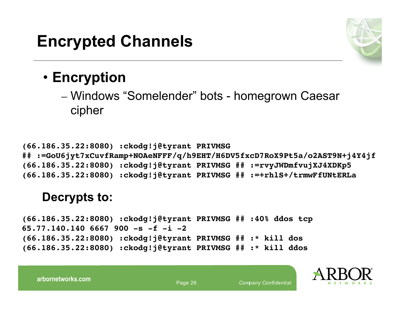

#### • **Encryption**

– Windows "Somelender" bots - homegrown Caesar cipher

**(66.186.35.22:8080) :ckodg!j@tyrant PRIVMSG ## :=GoU6jyt7xCuvfRamp+NOAeNFFF/q/h9EHT/H6DV5fxcD7RoX9Pt5a/o2AST9N+j4Y4jf (66.186.35.22:8080) :ckodg!j@tyrant PRIVMSG ## :=rvyJWDmfvujXJ4XDKp5 (66.186.35.22:8080) :ckodg!j@tyrant PRIVMSG ## :=+rhlS+/trmwFfUNtERLa**

#### **Decrypts to:**

**(66.186.35.22:8080) :ckodg!j@tyrant PRIVMSG ## :40% ddos tcp 65.77.140.140 6667 900 -s -f -i -2 (66.186.35.22:8080) :ckodg!j@tyrant PRIVMSG ## :\* kill dos (66.186.35.22:8080) :ckodg!j@tyrant PRIVMSG ## :\* kill ddos**



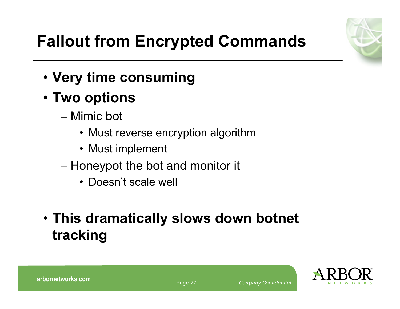

# **Fallout from Encrypted Commands**

- **Very time consuming**
- **Two options**
	- Mimic bot
		- Must reverse encryption algorithm
		- Must implement
	- Honeypot the bot and monitor it
		- Doesn't scale well
- **This dramatically slows down botnet tracking**

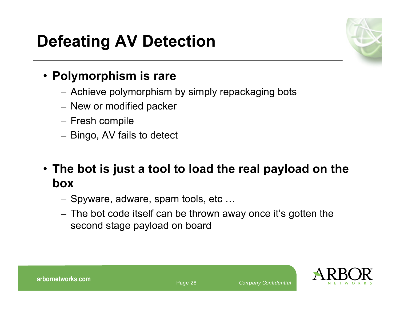# **Defeating AV Detection**



#### • **Polymorphism is rare**

- Achieve polymorphism by simply repackaging bots
- New or modified packer
- Fresh compile
- Bingo, AV fails to detect

• **The bot is just a tool to load the real payload on the box**

- Spyware, adware, spam tools, etc …
- The bot code itself can be thrown away once it's gotten the second stage payload on board

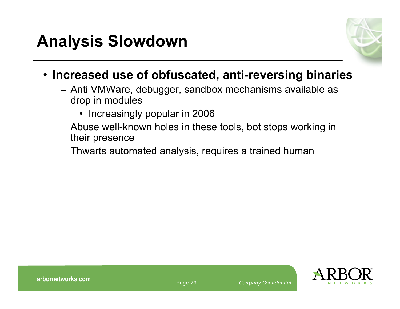

- **Increased use of obfuscated, anti-reversing binaries**
	- Anti VMWare, debugger, sandbox mechanisms available as drop in modules
		- Increasingly popular in 2006
	- Abuse well-known holes in these tools, bot stops working in their presence
	- Thwarts automated analysis, requires a trained human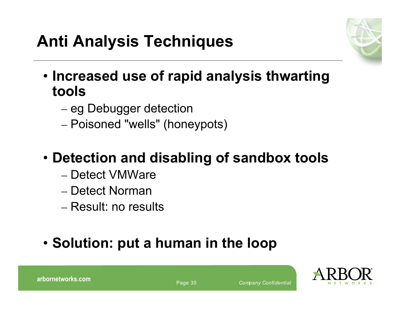

- **Increased use of rapid analysis thwarting tools**
	- eg Debugger detection
	- Poisoned "wells" (honeypots)
- **Detection and disabling of sandbox tools**
	- Detect VMWare
	- Detect Norman
	- Result: no results
- **Solution: put a human in the loop**



Page <sup>30</sup> *Company Confidential* **arbornetworks.com**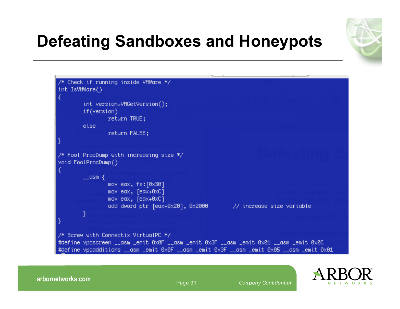

# **Defeating Sandboxes and Honeypots**



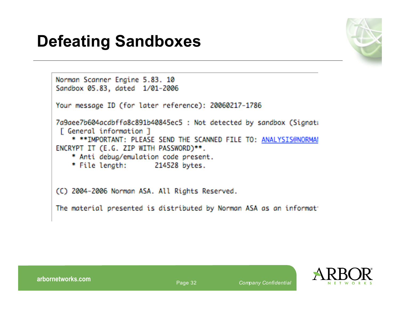# **Defeating Sandboxes**



```
Norman Scanner Engine 5.83. 10
Sandbox 05.83, dated 1/01-2006
Your message ID (for later reference): 20060217-1786
7a9aee7b604acdbffa8c891b40845ec5 : Not detected by sandbox (Signati
[ General information ]
    * ** IMPORTANT: PLEASE SEND THE SCANNED FILE TO: ANALYSIS@NORMAL
ENCRYPT IT (E.G. ZIP WITH PASSWORD)**.
    * Anti debug/emulation code present.
    * File lenath:
                      214528 bytes.
(C) 2004-2006 Norman ASA. All Rights Reserved.
The material presented is distributed by Norman ASA as an informat
```
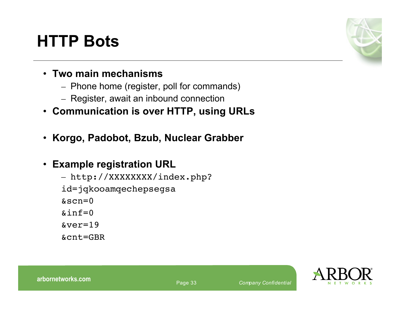# **HTTP Bots**



- **Two main mechanisms**
	- Phone home (register, poll for commands)
	- Register, await an inbound connection
- **Communication is over HTTP, using URLs**
- **Korgo, Padobot, Bzub, Nuclear Grabber**
- **Example registration URL**
	- http://XXXXXXXX/index.php?
	- id=jqkooamqechepsegsa
	- $\&scn=0$
	- $\sin f=0$
	- &ver=19
	- &cnt=GBR

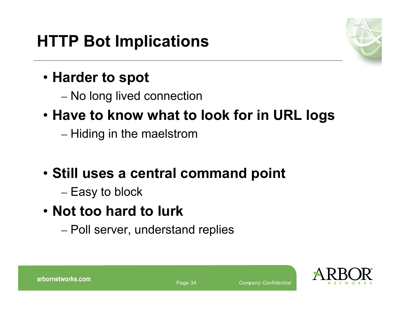

## • **Harder to spot**

– No long lived connection

# • **Have to know what to look for in URL logs**

– Hiding in the maelstrom

# • **Still uses a central command point**

- Easy to block
- **Not too hard to lurk**
	- Poll server, understand replies

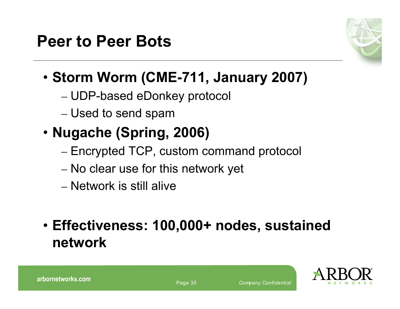

# • **Storm Worm (CME-711, January 2007)**

- UDP-based eDonkey protocol
- Used to send spam

# • **Nugache (Spring, 2006)**

- Encrypted TCP, custom command protocol
- No clear use for this network yet
- Network is still alive
- **Effectiveness: 100,000+ nodes, sustained network**

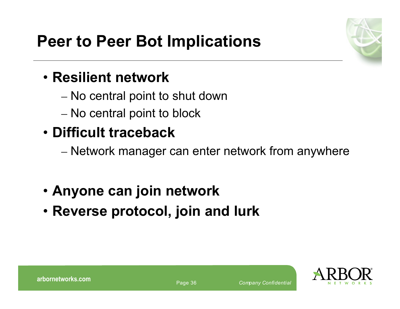

## • **Resilient network**

- No central point to shut down
- No central point to block

# • **Difficult traceback**

- Network manager can enter network from anywhere
- **Anyone can join network**
- **Reverse protocol, join and lurk**

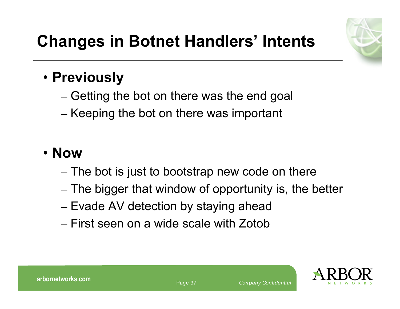# **Changes in Botnet Handlers' Intents**



## • **Previously**

- Getting the bot on there was the end goal
- Keeping the bot on there was important

### • **Now**

- The bot is just to bootstrap new code on there
- The bigger that window of opportunity is, the better
- Evade AV detection by staying ahead
- First seen on a wide scale with Zotob



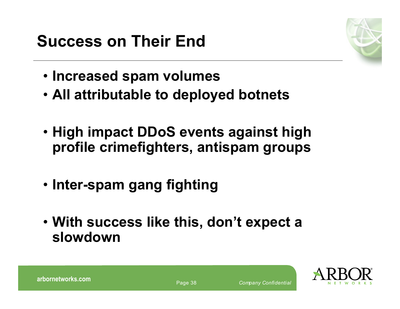

- **Increased spam volumes**
- **All attributable to deployed botnets**
- **High impact DDoS events against high profile crimefighters, antispam groups**
- **Inter-spam gang fighting**
- **With success like this, don't expect a slowdown**

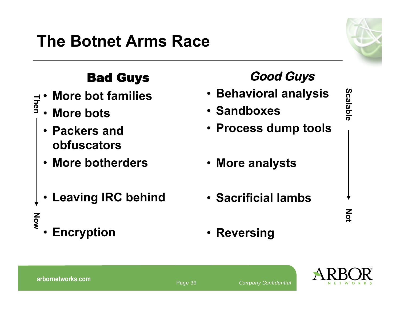# **The Botnet Arms Race**



#### Bad Guys

- **More bot families** —1 **h**
- **More bots e n**
	- **Packers and obfuscators**
	- **More botherders**
	- **Leaving IRC behind**
- **No w**
	- **Encryption**

| • Behavioral analysis      |                                       |
|----------------------------|---------------------------------------|
| • Sandboxes                | <b>Scalable</b>                       |
| • Process dump tools       |                                       |
|                            |                                       |
| • More analysts            |                                       |
|                            |                                       |
| <b>• Sacrificial lambs</b> |                                       |
|                            | $\sum_{\substack{\text{O}\end{math}}$ |
| • Reversing                |                                       |

**Good Guys**

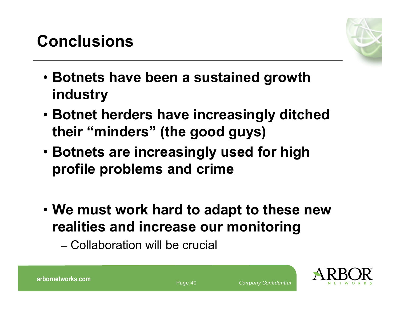# **Conclusions**



- **Botnets have been a sustained growth industry**
- **Botnet herders have increasingly ditched their "minders" (the good guys)**
- **Botnets are increasingly used for high profile problems and crime**
- **We must work hard to adapt to these new realities and increase our monitoring**
	- Collaboration will be crucial